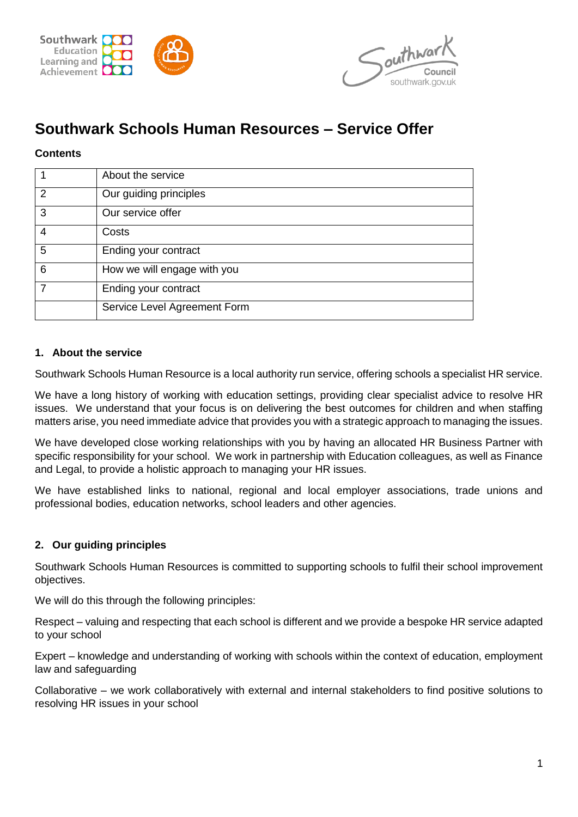



# **Southwark Schools Human Resources – Service Offer**

## **Contents**

|               | About the service            |
|---------------|------------------------------|
| $\mathcal{P}$ | Our guiding principles       |
| 3             | Our service offer            |
| 4             | Costs                        |
| 5             | Ending your contract         |
| 6             | How we will engage with you  |
|               | Ending your contract         |
|               | Service Level Agreement Form |

#### **1. About the service**

Southwark Schools Human Resource is a local authority run service, offering schools a specialist HR service.

We have a long history of working with education settings, providing clear specialist advice to resolve HR issues. We understand that your focus is on delivering the best outcomes for children and when staffing matters arise, you need immediate advice that provides you with a strategic approach to managing the issues.

We have developed close working relationships with you by having an allocated HR Business Partner with specific responsibility for your school. We work in partnership with Education colleagues, as well as Finance and Legal, to provide a holistic approach to managing your HR issues.

We have established links to national, regional and local employer associations, trade unions and professional bodies, education networks, school leaders and other agencies.

#### **2. Our guiding principles**

Southwark Schools Human Resources is committed to supporting schools to fulfil their school improvement objectives.

We will do this through the following principles:

Respect – valuing and respecting that each school is different and we provide a bespoke HR service adapted to your school

Expert – knowledge and understanding of working with schools within the context of education, employment law and safeguarding

Collaborative – we work collaboratively with external and internal stakeholders to find positive solutions to resolving HR issues in your school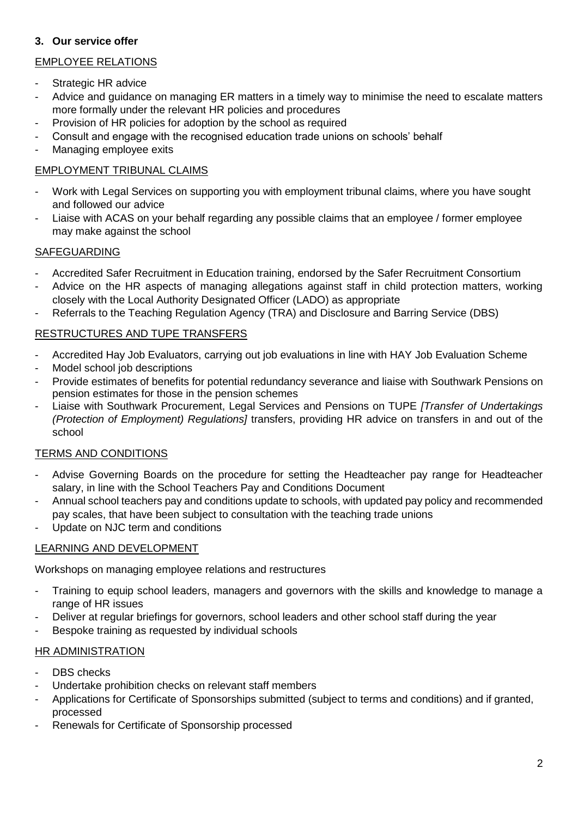## **3. Our service offer**

## EMPLOYEE RELATIONS

- Strategic HR advice
- Advice and guidance on managing ER matters in a timely way to minimise the need to escalate matters more formally under the relevant HR policies and procedures
- Provision of HR policies for adoption by the school as required
- Consult and engage with the recognised education trade unions on schools' behalf
- Managing employee exits

## EMPLOYMENT TRIBUNAL CLAIMS

- Work with Legal Services on supporting you with employment tribunal claims, where you have sought and followed our advice
- Liaise with ACAS on your behalf regarding any possible claims that an employee / former employee may make against the school

## SAFEGUARDING

- Accredited Safer Recruitment in Education training, endorsed by the Safer Recruitment Consortium
- Advice on the HR aspects of managing allegations against staff in child protection matters, working closely with the Local Authority Designated Officer (LADO) as appropriate
- Referrals to the Teaching Regulation Agency (TRA) and Disclosure and Barring Service (DBS)

## RESTRUCTURES AND TUPE TRANSFERS

- Accredited Hay Job Evaluators, carrying out job evaluations in line with HAY Job Evaluation Scheme
- Model school job descriptions
- Provide estimates of benefits for potential redundancy severance and liaise with Southwark Pensions on pension estimates for those in the pension schemes
- Liaise with Southwark Procurement, Legal Services and Pensions on TUPE *[Transfer of Undertakings (Protection of Employment) Regulations]* transfers, providing HR advice on transfers in and out of the school

#### TERMS AND CONDITIONS

- Advise Governing Boards on the procedure for setting the Headteacher pay range for Headteacher salary, in line with the School Teachers Pay and Conditions Document
- Annual school teachers pay and conditions update to schools, with updated pay policy and recommended pay scales, that have been subject to consultation with the teaching trade unions
- Update on NJC term and conditions

#### LEARNING AND DEVELOPMENT

Workshops on managing employee relations and restructures

- Training to equip school leaders, managers and governors with the skills and knowledge to manage a range of HR issues
- Deliver at regular briefings for governors, school leaders and other school staff during the year
- Bespoke training as requested by individual schools

#### HR ADMINISTRATION

- DBS checks
- Undertake prohibition checks on relevant staff members
- Applications for Certificate of Sponsorships submitted (subject to terms and conditions) and if granted, processed
- Renewals for Certificate of Sponsorship processed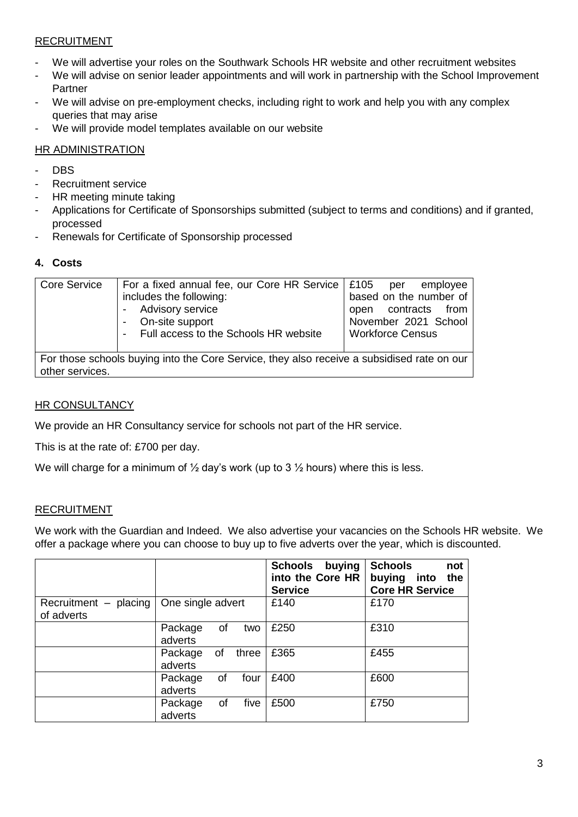## **RECRUITMENT**

- We will advertise your roles on the Southwark Schools HR website and other recruitment websites
- We will advise on senior leader appointments and will work in partnership with the School Improvement Partner
- We will advise on pre-employment checks, including right to work and help you with any complex queries that may arise
- We will provide model templates available on our website

## HR ADMINISTRATION

- DBS
- Recruitment service
- HR meeting minute taking
- Applications for Certificate of Sponsorships submitted (subject to terms and conditions) and if granted, processed
- Renewals for Certificate of Sponsorship processed

## **4. Costs**

| <b>Core Service</b> | For a fixed annual fee, our Core HR Service   £105 per<br>includes the following:<br><b>Advisory service</b><br>On-site support<br>Full access to the Schools HR website | emplovee<br>based on the number of<br>contracts<br>from<br>open<br>November 2021 School<br><b>Workforce Census</b> |
|---------------------|--------------------------------------------------------------------------------------------------------------------------------------------------------------------------|--------------------------------------------------------------------------------------------------------------------|
| other services.     | For those schools buying into the Core Service, they also receive a subsidised rate on our                                                                               |                                                                                                                    |

## **HR CONSULTANCY**

We provide an HR Consultancy service for schools not part of the HR service.

This is at the rate of: £700 per day.

We will charge for a minimum of  $\frac{1}{2}$  day's work (up to 3  $\frac{1}{2}$  hours) where this is less.

## RECRUITMENT

We work with the Guardian and Indeed. We also advertise your vacancies on the Schools HR website. We offer a package where you can choose to buy up to five adverts over the year, which is discounted.

|                                           |                          |       | Schools<br>buying<br>into the Core HR<br><b>Service</b> | <b>Schools</b><br>not<br>buying into the<br><b>Core HR Service</b> |
|-------------------------------------------|--------------------------|-------|---------------------------------------------------------|--------------------------------------------------------------------|
| Recruitment $-$ placing $ $<br>of adverts | One single advert        |       | £140                                                    | £170                                                               |
|                                           | Package<br>οf<br>adverts | two   | £250                                                    | £310                                                               |
|                                           | of<br>Package<br>adverts | three | £365                                                    | £455                                                               |
|                                           | of<br>Package<br>adverts | four  | £400                                                    | £600                                                               |
|                                           | Package<br>οf<br>adverts | five  | £500                                                    | £750                                                               |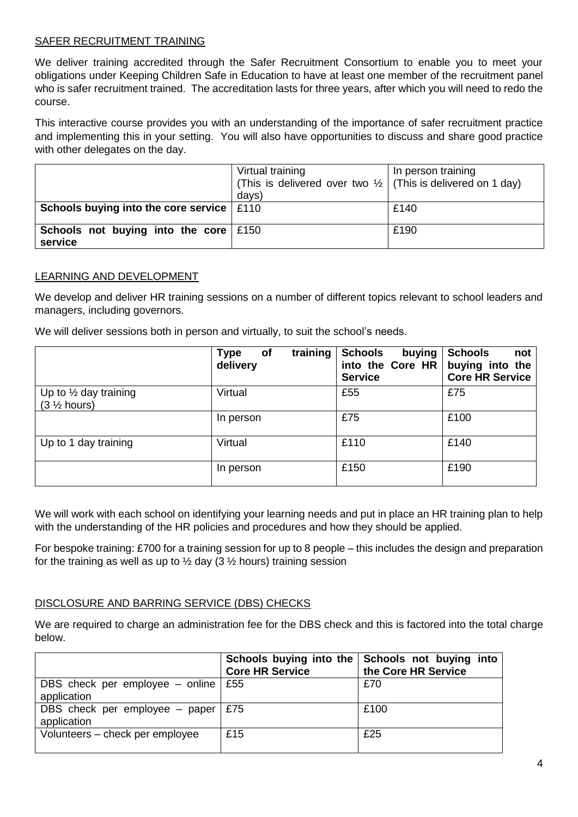#### SAFER RECRUITMENT TRAINING

We deliver training accredited through the Safer Recruitment Consortium to enable you to meet your obligations under Keeping Children Safe in Education to have at least one member of the recruitment panel who is safer recruitment trained. The accreditation lasts for three years, after which you will need to redo the course.

This interactive course provides you with an understanding of the importance of safer recruitment practice and implementing this in your setting. You will also have opportunities to discuss and share good practice with other delegates on the day.

|                                                         | Virtual training<br>(This is delivered over two $\frac{1}{2}$ (This is delivered on 1 day)<br>days) | In person training |
|---------------------------------------------------------|-----------------------------------------------------------------------------------------------------|--------------------|
| Schools buying into the core service   £110             |                                                                                                     | £140               |
| Schools not buying into the core $\mid$ £150<br>service |                                                                                                     | £190               |

#### LEARNING AND DEVELOPMENT

We develop and deliver HR training sessions on a number of different topics relevant to school leaders and managers, including governors.

We will deliver sessions both in person and virtually, to suit the school's needs.

|                                                                     | training<br><b>Type</b><br><b>of</b><br>delivery | <b>Schools</b><br>buying<br>into the Core HR<br><b>Service</b> | <b>Schools</b><br>not<br>buying into the<br><b>Core HR Service</b> |
|---------------------------------------------------------------------|--------------------------------------------------|----------------------------------------------------------------|--------------------------------------------------------------------|
| Up to $\frac{1}{2}$ day training<br>$(3 \frac{1}{2} \text{ hours})$ | Virtual                                          | £55                                                            | £75                                                                |
|                                                                     | In person                                        | £75                                                            | £100                                                               |
| Up to 1 day training                                                | Virtual                                          | £110                                                           | £140                                                               |
|                                                                     | In person                                        | £150                                                           | £190                                                               |

We will work with each school on identifying your learning needs and put in place an HR training plan to help with the understanding of the HR policies and procedures and how they should be applied.

For bespoke training: £700 for a training session for up to 8 people – this includes the design and preparation for the training as well as up to  $\frac{1}{2}$  day (3  $\frac{1}{2}$  hours) training session

#### DISCLOSURE AND BARRING SERVICE (DBS) CHECKS

We are required to charge an administration fee for the DBS check and this is factored into the total charge below.

|                                                  | <b>Core HR Service</b> | Schools buying into the Schools not buying into<br>the Core HR Service |
|--------------------------------------------------|------------------------|------------------------------------------------------------------------|
| DBS check per employee $-$ online<br>application | £55                    | £70                                                                    |
| DBS check per employee $-$ paper<br>application  | £75                    | £100                                                                   |
| Volunteers - check per employee                  | £15                    | £25                                                                    |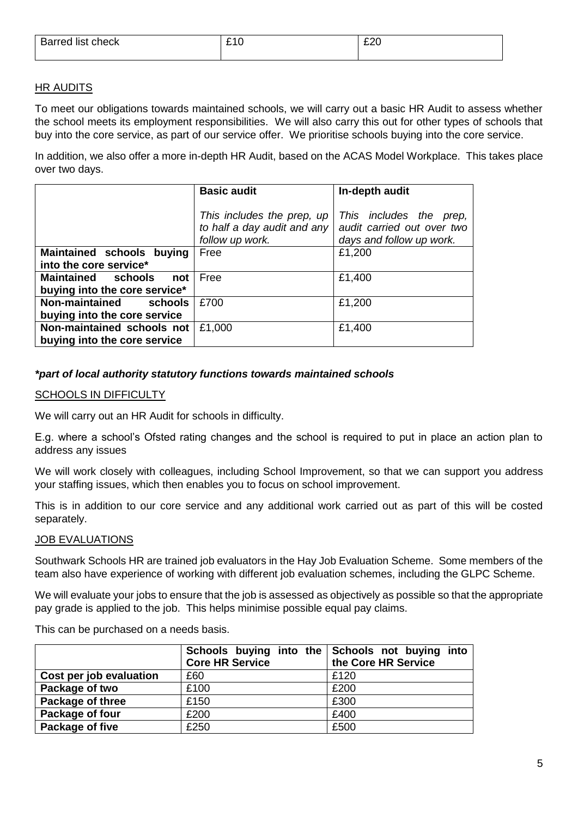| Barred list check | - | ∼∼ |
|-------------------|---|----|
|                   |   |    |

## **HR AUDITS**

To meet our obligations towards maintained schools, we will carry out a basic HR Audit to assess whether the school meets its employment responsibilities. We will also carry this out for other types of schools that buy into the core service, as part of our service offer. We prioritise schools buying into the core service.

In addition, we also offer a more in-depth HR Audit, based on the ACAS Model Workplace. This takes place over two days.

|                                  | <b>Basic audit</b>          | In-depth audit             |
|----------------------------------|-----------------------------|----------------------------|
|                                  |                             |                            |
|                                  | This includes the prep, up  | This includes the<br>prep. |
|                                  | to half a day audit and any | audit carried out over two |
|                                  | follow up work.             | days and follow up work.   |
| Maintained schools buying        | Free                        | £1,200                     |
| into the core service*           |                             |                            |
| Maintained schools<br>not        | Free                        | £1,400                     |
| buying into the core service*    |                             |                            |
| <b>Non-maintained</b><br>schools | £700                        | £1,200                     |
| buying into the core service     |                             |                            |
| Non-maintained schools not       | £1,000                      | £1,400                     |
| buying into the core service     |                             |                            |

## *\*part of local authority statutory functions towards maintained schools*

#### SCHOOLS IN DIFFICULTY

We will carry out an HR Audit for schools in difficulty.

E.g. where a school's Ofsted rating changes and the school is required to put in place an action plan to address any issues

We will work closely with colleagues, including School Improvement, so that we can support you address your staffing issues, which then enables you to focus on school improvement.

This is in addition to our core service and any additional work carried out as part of this will be costed separately.

#### JOB EVALUATIONS

Southwark Schools HR are trained job evaluators in the Hay Job Evaluation Scheme. Some members of the team also have experience of working with different job evaluation schemes, including the GLPC Scheme.

We will evaluate your jobs to ensure that the job is assessed as objectively as possible so that the appropriate pay grade is applied to the job. This helps minimise possible equal pay claims.

This can be purchased on a needs basis.

|                         | Schools buying into the Schools not buying into<br><b>Core HR Service</b> | the Core HR Service |
|-------------------------|---------------------------------------------------------------------------|---------------------|
| Cost per job evaluation | £60                                                                       | £120                |
| Package of two          | £100                                                                      | £200                |
| Package of three        | £150                                                                      | £300                |
| Package of four         | £200                                                                      | £400                |
| Package of five         | £250                                                                      | £500                |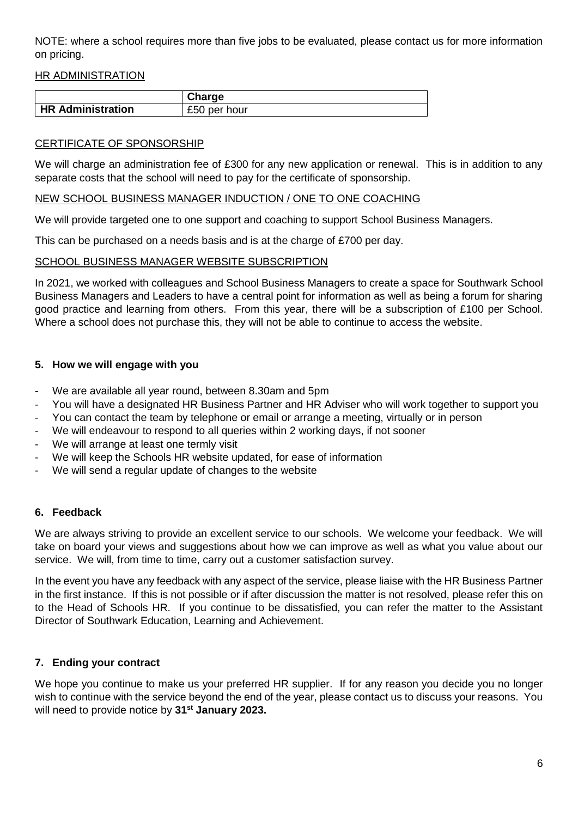NOTE: where a school requires more than five jobs to be evaluated, please contact us for more information on pricing.

#### HR ADMINISTRATION

|                          | <b>Charge</b> |
|--------------------------|---------------|
| <b>HR Administration</b> | £50 per hour  |

#### CERTIFICATE OF SPONSORSHIP

We will charge an administration fee of £300 for any new application or renewal. This is in addition to any separate costs that the school will need to pay for the certificate of sponsorship.

#### NEW SCHOOL BUSINESS MANAGER INDUCTION / ONE TO ONE COACHING

We will provide targeted one to one support and coaching to support School Business Managers.

This can be purchased on a needs basis and is at the charge of £700 per day.

#### SCHOOL BUSINESS MANAGER WEBSITE SUBSCRIPTION

In 2021, we worked with colleagues and School Business Managers to create a space for Southwark School Business Managers and Leaders to have a central point for information as well as being a forum for sharing good practice and learning from others. From this year, there will be a subscription of £100 per School. Where a school does not purchase this, they will not be able to continue to access the website.

#### **5. How we will engage with you**

- We are available all year round, between 8.30am and 5pm
- You will have a designated HR Business Partner and HR Adviser who will work together to support you
- You can contact the team by telephone or email or arrange a meeting, virtually or in person
- We will endeavour to respond to all queries within 2 working days, if not sooner
- We will arrange at least one termly visit
- We will keep the Schools HR website updated, for ease of information
- We will send a regular update of changes to the website

#### **6. Feedback**

We are always striving to provide an excellent service to our schools. We welcome your feedback. We will take on board your views and suggestions about how we can improve as well as what you value about our service. We will, from time to time, carry out a customer satisfaction survey.

In the event you have any feedback with any aspect of the service, please liaise with the HR Business Partner in the first instance. If this is not possible or if after discussion the matter is not resolved, please refer this on to the Head of Schools HR. If you continue to be dissatisfied, you can refer the matter to the Assistant Director of Southwark Education, Learning and Achievement.

## **7. Ending your contract**

We hope you continue to make us your preferred HR supplier. If for any reason you decide you no longer wish to continue with the service beyond the end of the year, please contact us to discuss your reasons. You will need to provide notice by **31st January 2023.**